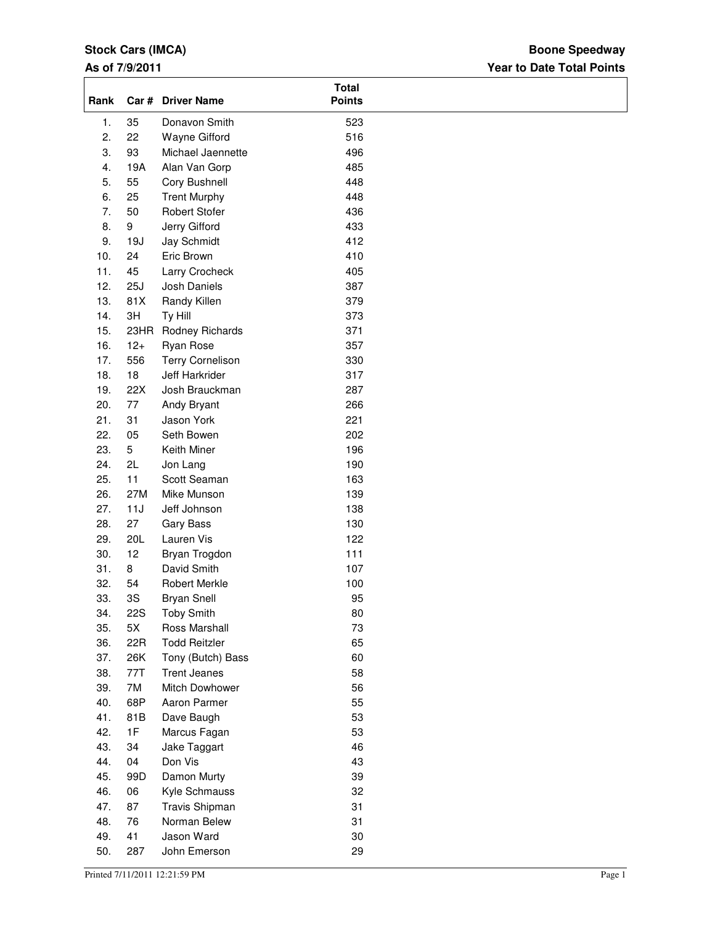## **Stock Cars (IMCA)**

### **As of 7/9/2011**

## **Year to Date Total Points Boone Speedway**

| Rank             |            | Car # Driver Name       | <b>Total</b><br><b>Points</b> |  |
|------------------|------------|-------------------------|-------------------------------|--|
| 1.               | 35         | Donavon Smith           | 523                           |  |
| 2.               | 22         | Wayne Gifford           | 516                           |  |
| 3.               | 93         | Michael Jaennette       | 496                           |  |
| $\overline{4}$ . | 19A        | Alan Van Gorp           | 485                           |  |
| 5.               | 55         | Cory Bushnell           | 448                           |  |
| 6.               | 25         | <b>Trent Murphy</b>     | 448                           |  |
| 7.               | 50         | Robert Stofer           | 436                           |  |
| 8.               | 9          | Jerry Gifford           | 433                           |  |
| 9.               | 19J        | Jay Schmidt             | 412                           |  |
| 10.              | 24         | Eric Brown              | 410                           |  |
| 11.              | 45         | Larry Crocheck          | 405                           |  |
| 12.              | 25J        | Josh Daniels            | 387                           |  |
| 13.              | 81X        | Randy Killen            | 379                           |  |
| 14.              | 3H         | Ty Hill                 | 373                           |  |
| 15.              | 23HR       | Rodney Richards         | 371                           |  |
| 16.              | $12+$      | Ryan Rose               | 357                           |  |
| 17.              | 556        | <b>Terry Cornelison</b> | 330                           |  |
| 18.              | 18         | Jeff Harkrider          | 317                           |  |
| 19.              | 22X        | Josh Brauckman          | 287                           |  |
| 20.              | 77         | Andy Bryant             | 266                           |  |
| 21.              | 31         | Jason York              | 221                           |  |
| 22.              | 05         | Seth Bowen              | 202                           |  |
| 23.              | 5          | Keith Miner             | 196                           |  |
| 24.              | 2L         | Jon Lang                | 190                           |  |
| 25.              | 11         | Scott Seaman            | 163                           |  |
| 26.              | 27M        | Mike Munson             | 139                           |  |
| 27.              | 11J        | Jeff Johnson            | 138                           |  |
| 28.              | 27         | Gary Bass               | 130                           |  |
| 29.              | 20L        | Lauren Vis              | 122                           |  |
| 30.              | 12         | Bryan Trogdon           | 111                           |  |
| 31.              | 8          | David Smith             | 107                           |  |
| 32.              | 54         | Robert Merkle           | 100                           |  |
| 33.              | 3S         | <b>Bryan Snell</b>      | 95                            |  |
| 34.              | <b>22S</b> | <b>Toby Smith</b>       | 80                            |  |
| 35.              | 5X         | Ross Marshall           | 73                            |  |
| 36.              | 22R        | <b>Todd Reitzler</b>    | 65                            |  |
| 37.              | 26K        | Tony (Butch) Bass       | 60                            |  |
| 38.              | 77T        | <b>Trent Jeanes</b>     | 58                            |  |
| 39.              | 7M         | Mitch Dowhower          | 56                            |  |
| 40.              | 68P        | Aaron Parmer            | 55                            |  |
| 41.              | 81B        | Dave Baugh              | 53                            |  |
| 42.              | 1F         | Marcus Fagan            | 53                            |  |
| 43.              | 34         | Jake Taggart            | 46                            |  |
| 44.              | 04         | Don Vis                 | 43                            |  |
| 45.              | 99D        | Damon Murty             | 39                            |  |
| 46.              | 06         | Kyle Schmauss           | 32                            |  |
| 47.              | 87         | Travis Shipman          | 31                            |  |
| 48.              | 76         | Norman Belew            | 31                            |  |
| 49.              | 41         | Jason Ward              | 30                            |  |
| 50.              | 287        | John Emerson            | 29                            |  |